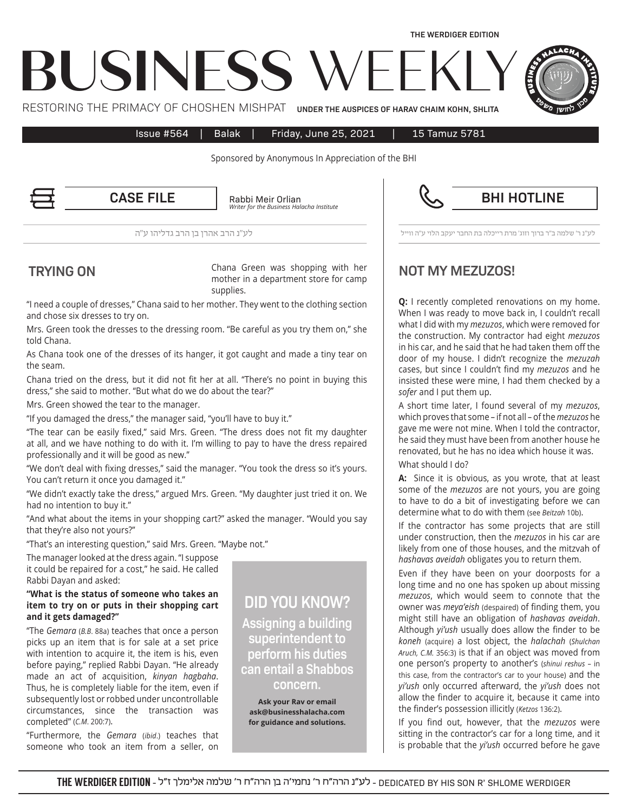

Issue #564 | Balak | Friday, June 25, 2021 | 15 Tamuz 5781

Sponsored by Anonymous In Appreciation of the BHI

Rabbi Meir Orlian *Institute Halacha Business the for Writer* **CASE FILE** Rabbi Meir Orlian **Report Concernsive CASE BHI HOTLINE** 

לע"נ ר' שלמה ב"ר ברוך וזוג' מרת רייכלה בת החבר יעקב הלוי ע"ה ווייל לע"נ הרב אהרן בן הרב גדליהו ע"ה

Chana Green was shopping with her mother in a department store for camp supplies. **EXAMPLE TRYING ON** Chana Green was shopping with her **NOT MY MEZUZOS!** 

"I need a couple of dresses," Chana said to her mother. They went to the clothing section and chose six dresses to try on.

Mrs. Green took the dresses to the dressing room. "Be careful as you try them on," she told Chana.

As Chana took one of the dresses of its hanger, it got caught and made a tiny tear on the seam.

Chana tried on the dress, but it did not fit her at all. "There's no point in buying this dress," she said to mother. "But what do we do about the tear?"

Mrs. Green showed the tear to the manager.

"If you damaged the dress," the manager said, "you'll have to buy it."

"The tear can be easily fixed," said Mrs. Green. "The dress does not fit my daughter at all, and we have nothing to do with it. I'm willing to pay to have the dress repaired professionally and it will be good as new."

"We don't deal with fixing dresses," said the manager. "You took the dress so it's yours. You can't return it once you damaged it."

"We didn't exactly take the dress," argued Mrs. Green. "My daughter just tried it on. We had no intention to buy it."

"And what about the items in your shopping cart?" asked the manager. "Would you say that they're also not yours?"

"That's an interesting question," said Mrs. Green. "Maybe not."

The manager looked at the dress again. "I suppose it could be repaired for a cost," he said. He called Rabbi Dayan and asked:

## "What is the status of someone who takes an item to try on or puts in their shopping cart and it gets damaged?"

"The *Gemara* (B.B. 88a) teaches that once a person picks up an item that is for sale at a set price with intention to acquire it, the item is his, even before paying," replied Rabbi Dayan. "He already made an act of acquisition, kinyan hagbaha. Thus, he is completely liable for the item, even if subsequently lost or robbed under uncontrollable circumstances, since the transaction was completed" (*C.M.* 200:7).

"Furthermore, the Gemara (ibid.) teaches that someone who took an item from a seller, on

**DID YOU KNOW?** 

 **building a Assigning** superintendent to **perform** his duties can entail a Shabbos **.concern**

**Ask your Ray or email com.businesshalacha@ask** for guidance and solutions.

**Q:** I recently completed renovations on my home. When I was ready to move back in, I couldn't recall what I did with my *mezuzos*, which were removed for the construction. My contractor had eight *mezuzos* in his car, and he said that he had taken them off the door of my house. I didn't recognize the *mezuzah* cases, but since I couldn't find my *mezuzos* and he insisted these were mine, I had them checked by a sofer and I put them up.

A short time later, I found several of my *mezuzos*, which proves that some – if not all – of the *mezuzos* he gave me were not mine. When I told the contractor, he said they must have been from another house he renovated, but he has no idea which house it was.

What should I do?

A: Since it is obvious, as you wrote, that at least some of the *mezuzos* are not yours, you are going to have to do a bit of investigating before we can determine what to do with them (see Beitzah 10b).

If the contractor has some projects that are still under construction, then the *mezuzos* in his car are likely from one of those houses, and the mitzvah of hashavas aveidah obligates you to return them.

Even if they have been on your doorposts for a long time and no one has spoken up about missing mezuzos, which would seem to connote that the owner was *meya'eish* (despaired) of finding them, you might still have an obligation of hashavas aveidah. Although yi'ush usually does allow the finder to be *koneh* (*acquire*) a lost object, the *halachah* (*Shulchan* Aruch, C.M. 356:3) is that if an object was moved from one person's property to another's (shinui reshus - in this case, from the contractor's car to your house) and the yi'ush only occurred afterward, the yi'ush does not allow the finder to acquire it, because it came into the finder's possession illicitly (Ketzos 136:2).

If you find out, however, that the *mezuzos* were sitting in the contractor's car for a long time, and it is probable that the yi'ush occurred before he gave